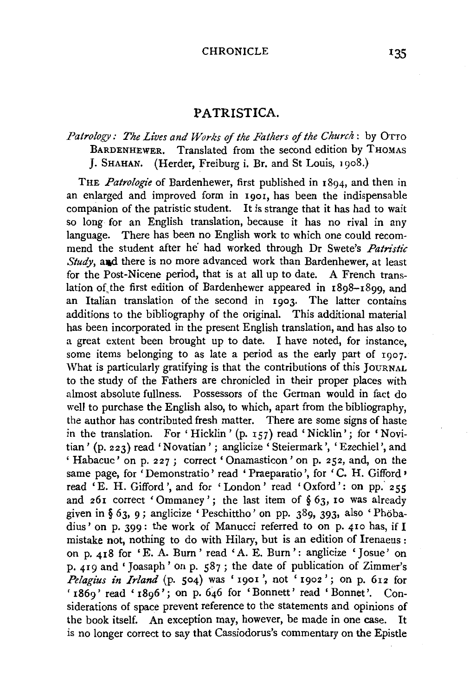## PATRISTICA.

# *Patrology: The Lives and Works of the Fathers of the Church* : by OTTO<br>BARDENHEWER. Translated from the second edition by THOMAS Translated from the second edition by THOMAS J. SHAHAN. (Herder, Freiburg i. Br. and St Louis, 1908.)

THE *Patrologie* of Bardenhewer, first published in 1894, and then in an enlarged and improved form in 1901, has been the indispensable companion of the patristic student. It is strange that it has had to wait so long for an English translation, because it has no rival in any language. There has been no English work to which one could recommend the student after he' had worked through Dr Swete's *Patn'stic Study*, and there is no more advanced work than Bardenhewer, at least for the Post-Nicene period, that is at all up to date. A French translation of the first edition of Bardenhewer appeared in  $1898-1899$ , and an Italian translation of the second in 1903. The latter contains additions to the bibliography of the original. This additional material has been incorporated in the present English translation, and has also to a great extent been brought up to date. I have noted, for instance, some items belonging to as late a period as the early part of 1907. What is particularly gratifying is that the contributions of this JOURNAL to the study of the Fathers are chronicled in their proper places with almost absolute fullness. Possessors of the German would in fact do well to purchase the English also, to which, apart from the bibliography, the author has contributed fresh matter. There are some signs of haste in the translation. For 'Hicklin' (p. 157) read 'Nicklin'; for 'Novitian' (p. 223) read 'Novatian'; anglicize 'Steiermark', 'Ezechiel', and 'Habacuc' on p. 227; correct 'Onamasticon' on p. 252, and, on the same page, for 'Demonstratio' read 'Praeparatio', for 'C. H. Gifford' read 'E. H. Gifford', and for 'London' read 'Oxford': on pp. 255 and 261 correct 'Ommaney'; the last item of § 63, 10 was already given in § 63, 9 ; anglicize 'Peschittho' on pp. 389, 393, also 'Phobadius' on p. 399: the work of Manucci referred to on p. 410 has, if I mistake not, nothing to do with Hilary, but is an edition of Irenaeus : on p. 418 for 'E. A. Burn ' read ' A. E. Burn': anglicize 'Josue' on p. 419 and' Joasaph' on p. 587; the date of publication of Zimmer's *Pelagius in Irland* (p. 504) was '1901', not '1902'; on p. 612 for ' 1869' read '1896'; on p. 646 for 'Bonnett' read 'Bonnet'. Considerations of space prevent reference to the statements and opinions of the book itself. An exception may, however, be made in one case. It is no longer correct to say that Cassiodorus's commentary on the Epistle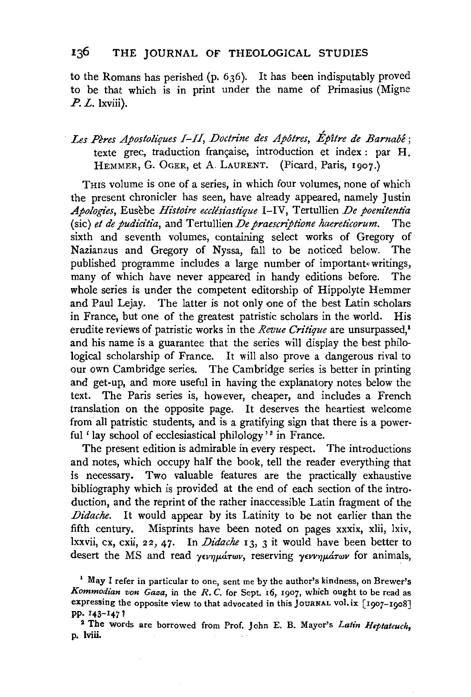to the Romans has perished (p. 636). It has been indisputably proved to be that which is in print under the name of Primasius (Migne *P. L.* lxviii).

# Les Pères Apostoliques I-II, Doctrine des Apôtres, Épître de Barnabé; texte grec, traduction française, introduction et index : par H. HEMMER, G. OGER, et A. LAURENT. (Picard, Paris, 1907.)

THIS volume is one of a series, in which four volumes, none of which the present chronicler has seen, have already appeared, namely Justin *Apologies,* Eusebe *Histoire ecclesiastique* I-IV, Tertullien *De poenitentia*  (sic) et de pudicitia, and Tertullien *De praescriptione haereticorum*. The sixth and seventh volumes, containing select works of Gregory of Nazianzus and Gregory of Nyssa, fall to be noticed below. The published programme includes a large number of important•·writings, many of which have never appeared in handy editions before. The whole series is under the competent editorship of Hippolyte Hemmer and Paul Lejay. The latter is not only one of the best Latin scholars in France, but one of the greatest patristic scholars in the world. His erudite reviews of patristic works in the *Revue Critique* are unsurpassed,<sup>1</sup> and his name is a guarantee that the series will display the best philological scholarship of France. It will also prove a dangerous rival to our own Cambridge series. The Cambridge series is better in printing and get-up, and more useful in having the explanatory notes below the text. The Paris series is, however, cheaper, and includes a French translation on the opposite page. It deserves the heartiest welcome from all patristic students, and is a gratifying sign that there is a powerful ' lay school of ecclesiastical philology'<sup>2</sup> in France.

The present edition is admirable in every respect. The introductions and notes, which occupy half the book, tell the reader everything that is necessary. Two valuable features are the practically exhaustive bibliography which is provided at the end of each section of the introduction, and the reprint of the rather inaccessible Latin fragment of the *Didache.* It would appear by its Latinity to be not earlier than the fifth century. Misprints have been noted on pages xxxix, xlii, !xiv, lxxvii, ex, cxii, 22, 47. In *Didache* 13, 3 it would have been better to desert the MS and read *γενημάτων*, reserving *γεννημάτων* for animals,

<sup>1</sup> May I refer in particular to one, sent me by the author's kindness, on Brewer's *Kommodian von Gaza,* in the *R. C.* for Sept. 16, 1907, which ought to be read as expressing the opposite view to that advocated in this JOURNAL vol. ix  $\lceil 1007 - 1008 \rceil$ pp. 1 43-147 !

2 The words are borrowed from Prof. John E. B. Mayor's *Latin Heptateuch,*  p. lviii.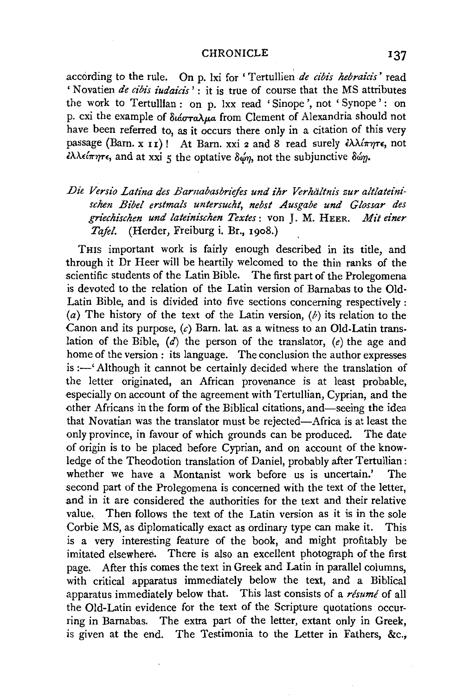#### CHRONICLE **137**

according to the rule. On p. lxi for ' Tertullien *de cibis hebraicis'* read ' Novatien *de cibis judaicis* <sup>2</sup>: it is true of course that the MS attributes the work to Tertulllan : on p. lxx read 'Sinope ', not ' Synope' : on p. cxi the example of  $\delta u$  *area*.ua from Clement of Alexandria should not have been referred to, as it occurs there only in a citation of this very passage (Barn. x **11)** ! At Barn. xxi 2 and 8 read surely *£A.'A.{1r'Y(r£,* not  $\epsilon \lambda \lambda \epsilon i \pi \eta \tau \epsilon$ , and at xxi 5 the optative δώη, not the subjunctive δώη.

## Die Versio Latina des Barnabasbriefes und ihr Verhältnis zur altlateini*schen Bibel erstmals untersucht, nebst Ausgabe und Glossar des griechischen und lateinischen Textes:* von J. M. HEER. *Mit einer Tafel.* (Herder, Freiburg i. Br., 1908.)

THIS important work is fairly enough described in its title, and through it Dr Heer will be heartily welcomed to the thin ranks of the scientific students of the Latin Bible. The first part of the Prolegomena is devoted to the relation of the Latin version of Barnabas to the Old· Latin Bible, and is divided into five sections concerning respectively : (a) The history of the text of the Latin version,  $(b)$  its relation to the Canon and its purpose,  $(c)$  Barn. lat. as a witness to an Old-Latin translation of the Bible,  $(d)$  the person of the translator,  $(e)$  the age and home of the version : its language. The conclusion the author expresses is :- 'Although it cannot be certainly decided where the translation of the letter originated, an African provenance is at least probable, especially on account of the agreement with Tertullian, Cyprian, and the other Africans in the form of the Biblical citations, and—seeing the idea that Novatian was the translator must be rejected-Africa is at least the only province, in favour of which grounds can be produced. The date of origin is to be placed before Cyprian, and on account of the knowledge of the Theodotion translation of Daniel, probably after Tertullian: whether we have a Montanist work before us is uncertain.' The second part of the Prolegomena is concerned with the text of the letter, and in it are considered the authorities for the text and their relative value. Then follows the text of the Latin version as it is in the sole Corbie MS, as diplomatically exact as ordinary type can make it. This is a very interesting feature of the book, and might profitably be imitated elsewhere. There is also an excellent photograph of the first page. After this comes the text in Greek and Latin in parallel columns, with critical apparatus immediately below the text, and a Biblical apparatus immediately below that. This last consists of a *resume* of all the Old-Latin evidence for the text of the Scripture quotations occurring in Barnabas. The extra part of the letter, extant only in Greek, is given at the end. The Testimonia to the Letter in Fathers, &c.,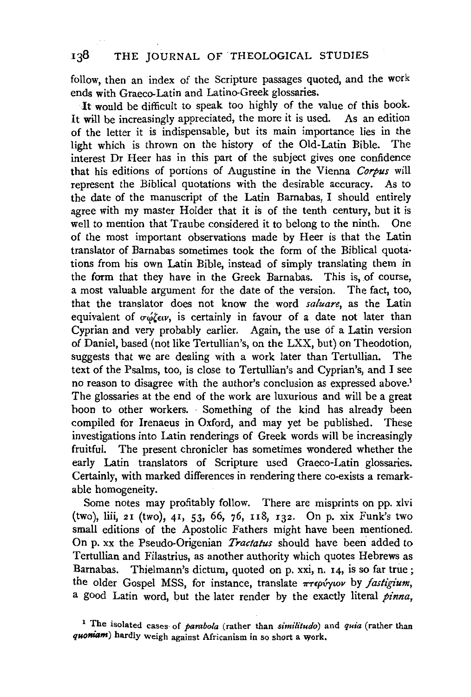follow, then an index of the Scripture passages quoted, and the work ends with Graeco-Latin and Latino-Greek glossaries.

It would be difficult to speak too highly of the value of this book. It will be increasingly appreciated, the more it is used. As an edition of the letter it is indispensable, but its main importance lies in the light which is thrown on the history of the Old-Latin Bible. The interest Dr Heer has in this part of the subject gives one confidence that his editions of portions of Augustine in the Vienna *Corpus* will represent the Biblical quotations with the desirable accuracy. As to the date of the manuscript of the Latin Barnabas, I should entirely agree with my master Holder that it is of the tenth century, but it is well to mention that Traube considered it to belong to the ninth. One of the most important observations made by Heer is that the Latin translator of Barnabas sometimes took the form of the Biblical quota· tions from his own Latin Bible, instead of simply translating them in the form that they have in the Greek Barnabas. This is, of course, a most valuable argument for the date of the version. The fact, too, that the translator does not know the word *saluare,* as the Latin equivalent of  $\sigma\omega\zeta\epsilon v$ , is certainly in favour of a date not later than Cyprian and very probably earlier. Again, the use of a Latin version of Daniel, based (not like Tertullian's, on the LXX, but) on Theodotion, suggests that we are dealing with a work later than Tertullian. The text of the Psalms, too, is close to Tertullian's and Cyprian's, and I see no reason to disagree with the author's conclusion as expressed above.<sup>1</sup> The glossaries at the end of the work are luxurious and will be a great hoon to other workers. Something of the kind has already been compiled for Irenaeus in Oxford, and may yet be published. These investigations into Latin renderings of Greek words will be increasingly fruitful. The present chronicler has sometimes wondered whether the early Latin translators of Scripture used Graeco-Latin glossaries. Certainly, with marked differences in rendering there co-exists a remarkable homogeneity.

Some notes may profitably follow. There are misprints on pp. xlvi (two), !iii, 21 (two), 41, 53, 66, 76, u8, 132. On p. xix Funk's two small editions of the Apostolic Fathers might have been mentioned. On p. xx the Pseudo-Origenian *Tractatus* should have been added to Tertullian and Filastrius, as another authority which quotes Hebrews as Barnabas. Thielmann's dictum, quoted on p. xxi, n. 14, is so far true ; the older Gospel MSS, for instance, translate πτερύγιον by *fastigium*, a good Latin word, but the later render by the exactly literal pinna,

<sup>1</sup> The isolated cases· of *parabola* (rather than *similitudo)* and *quia* (rather than *quoniam)* hardly weigh against Africanism in so short a work.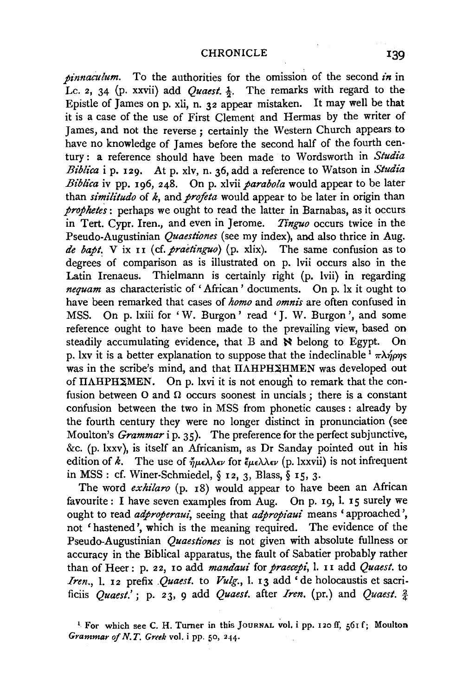*pinnaeulum.* To the authorities for the omission of the second *in* in Lc. 2, 34 (p. xxvii) add *Quaest*. <sup>1</sup>/<sub>2</sub>. The remarks with regard to the Epistle of James on p. xli, n. 32 appear mistaken. It may well be that it is a case of the use of First Clement and Hermas by the writer of James, and not the reverse; certainly the Western Church appears to have no knowledge of James before the second half of the fourth century: a reference should have been made to Wordsworth in *Studia Biblica* i p. 129. At p. xiv, n. 36, add a reference to Watson in *Studia Biblica* iv pp. 196, 248. On p. xlvii *parabola* would appear to be later than *similitudo* of *k,* and *proftta* would appear to be later in origin than *prophetes* : perhaps we ought to read the latter in Barnabas, as it occurs in Tert. Cypr. Iren., and even in Jerome. *Tinguo* occurs twice in the Pseudo-Augustinian *Quaestiones* (see my index), and also thrice in Aug. *de bapt.* **V** ix 11 (cf. *praetinguo*) (p. xlix). The same confusion as to degrees. of comparison as is illustrated on p. lvii occurs also in the Latin Irenaeus. Thielmann is certainly right (p. lvii) in regarding *nequam* as characteristic of 'African' documents. On p. 1x it ought to have been remarked that cases of *homo* and *omnis* are often confused in MSS. On p. lxiii for 'W. Burgon' read 'J. W. Burgon ', and some reference ought to have been made to the prevailing view, based on steadily accumulating evidence, that B and  $\aleph$  belong to Egypt. On p. lxv it is a better explanation to suppose that the indeclinable  $\frac{1}{T} \pi \lambda \eta \rho \eta s$ was in the scribe's mind, and that IIAHPH2HMEN was developed out of  $IIAHPHZMEN$ . On p. lxvi it is not enough to remark that the confusion between  $O$  and  $\Omega$  occurs soonest in uncials; there is a constant confusion between the two in MSS from phonetic causes : already by the fourth century they were no longer distinct in pronunciation (see Moulton's *Grammar* i p. 35). The preference for the perfect subjunctive, &c. (p. lxxv), is itself an Africanism, as Dr Sanday pointed out in his edition of  $\vec{k}$ . The use of  $\eta_{\mu\epsilon}\lambda\lambda\epsilon\nu$  for  $\zeta_{\mu\epsilon}\lambda\lambda\epsilon\nu$  (p. lxxvii) is not infrequent in MSS: cf. Winer-Schmiedel, *§* 12, 3, Blass,§ 15, 3.

The word *exhilaro* (p. 18) would appear to have been an African favourite: I have seven examples from Aug. On p. 19, l. 15 surely we ought to read *adproperaui*, seeing that *adpropiaui* means ' approached', not ' hastened', which is the meaning required. The evidence of the Pseudo-Augustinian *Quaestiones* is not given with absolute fullness or accuracy in the Biblical apparatus, the fault of Sabatier probably rather than of Heer: p. 22, 10 add *mandaui* for *praecepi,* l. 11 add *Quaest.* to *Iren.,* l. 12 prefix *Quaest.* to *Vulg.,* l. 13 add 'de holocaustis et sacrificiis *Quaest.'* ; p. 23, 9 add *Quaest.* after *Iren.* (pr.) and *Quaest.* 2

<sup>&</sup>lt;sup>1</sup> For which see C. H. Turner in this JOURNAL vol. i pp. 120 ff, 561 f; Moulton *Grammar of N. T. Greek* vol. i pp. 50, 244.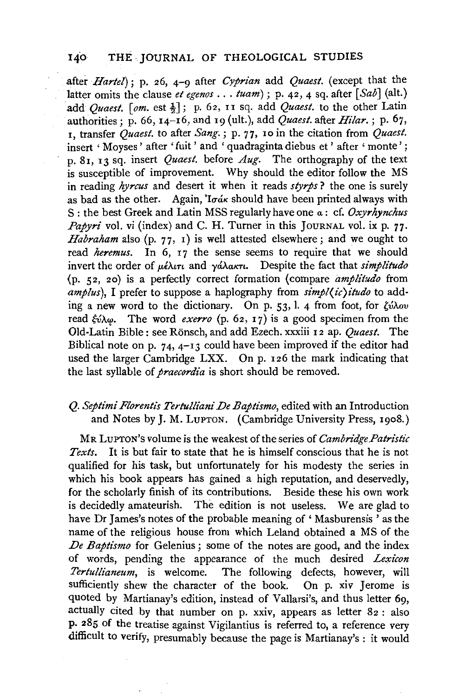after *Hartel);* p. 26, 4-9 after *Cyprian* add *Quaest.* (except that the latter omits the clause *et egenos .* .. *tuam);* p. 42, 4 sq. after [ *Sab]* (alt.) add *Quaest.*  $\lceil \frac{om}{2} \rceil$ ; p. 62, 11 sq. add *Quaest*. to the other Latin authorities: p. 66,  $I_4$ -16, and 19 (ult.), add *Quaest.* after *Hilar.*; p. 67, 1, transfer *Quaest.* to after *Sang.;* p. 77, 10 in the citation from *Quaest.*  insert ' Moyses' after ' fuit ' and ' quadraginta diebus et ' after ' monte'; p. 81, 13 sq. insert *Quaest.* before *Aug.* The orthography of the text is susceptible of improvement. Why should the editor follow the MS in reading *hyrcus* and desert it when it reads *styrps* ? the one is surely as bad as the other. Again, 'I $\sigma$ *ák* should have been printed always with S : the best Greek and Latin MSS regularly have one *a* : cf. *Oxyrhynchus Papyri* vol. vi (index) and C. H. Turner in this JOURNAL vol. ix p. 77. *Habraham* also (p. 77, 1) is well attested elsewhere ; and we ought to read *heremus.* In 6, 17 the sense seems to require that we should invert the order of μέλιτι and γάλακτι. Despite the fact that *simplitudo* (p. 52, 20) is a perfectly correct formation (compare *amplitudo* from *amplus*). I prefer to suppose a haplography from  $\sinh(\sqrt{c})$  *itudo* to adding a new word to the dictionary. On p. 53, 1. 4 from foot, for *'vA.ov*  read  $\xi \hat{i} \lambda \omega$ . The word *exerro* (p. 62, 17) is a good specimen from the Old-Latin Bible: see Ronsch, and add Ezech. xxxiii 12 ap. *Quaest.* The Biblical note on p. 74,  $4-13$  could have been improved if the editor had used the larger Cambridge LXX. On p. I 26 the mark indicating that the last syllable of *praecordia* is short should be removed.

## *Q. Septimi Florentis Tertulliani De Baptismo,* edited with an Introduction and Notes by J.M. LUPTON. (Cambridge University Press, 1908.)

MR LUPTON's volume is the weakest of the series of *Cambridge Patristic Texts.* It is but fair to state that he is himself conscious that he is not qualified for his task, but unfortunately for his modesty the series in which his book appears has gained a high reputation, and deservedly, for the scholarly finish of its contributions. Beside these his own work is decidedly amateurish. The edition is not useless. We are glad to have Dr James's notes of the probable meaning of 'Masburensis' as the name of the religious house from which Leland obtained a MS of the *De Baptismo* for Gelenius; some of the notes are good, and the index of words, pending the appearance of the much desired *Lexicon* Tertullianeum, is welcome. The following defects, however, will sufficiently shew the character of the book. On p. xiv Jerome is quoted by Martianay's edition, instead of Vallarsi's, and thus letter 69, actually cited by that number on p. xxiv, appears as letter 82 : also P· 285 of the treatise against Vigilantius is referred to, a reference very difficult to verify, presumably because the page is Martianay's : it would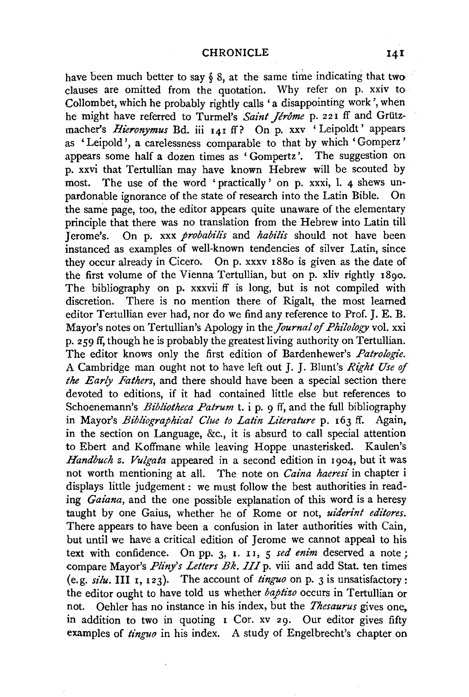have been much better to say  $\S$  8, at the same time indicating that two clauses are omitted from the quotation. Why refer on p. xxiv to Collom bet, which he probably rightly calls 'a disappointing work', when he might have referred to Turmel's *Saint Jerome* p. 221 ff and Griitzmacher's *Hieronymus* Bd. iii 141 ff? On p. xxv 'Leipoldt' appears as 'Leipold', a carelessness comparable to that by which ' Gomperz ' appears some half a dozen times as ' Gompertz '. The suggestion on p. xxvi that Tertullian may have known Hebrew will be scouted by most. The use of the word ' practically' on p. xxxi, l. 4 shews un-<br>nardonable ignorance of the state of research into the Latin Bible. On pardonable ignorance of the state of research into the Latin Bible. the same page, too, the editor appears quite unaware of the elementary principle that there was no translation from the Hebrew into Latin till J erome's. On p. xxx *probabilis* and *habili's* should not have been instanced as examples of well-known tendencies of silver Latin, since they occur already in Cicero. On p. xxxv 1880 is given as the date of the first volume of the Vienna Tertullian, but on p. xliv rightly 1890. The bibliography on p. xxxvii ff is long, but is not compiled with discretion. There is no mention there of Rigalt, the most learned editor Tertullian ever had, nor do we find any reference to Prof. J.E. B. Mayor's notes on Tertullian's Apology in the *Journal of Philology* vol. xxi p. 259 ff, though he is probably the greatest living authority on Tertullian. The editor knows only the first edition of Bardenhewer's *Patrologie.*  A Cambridge man ought not to have left out J. J. Blunt's *Right Use* of *the Early Fathers,* and there should have been a special section there devoted to editions, if it had contained little else but references to Schoenemann's *Bibliotheca Patrum t.* i p. 9 ff, and the full bibliography in Mayor's *Bibliographical Clue to Latin Literature* p. 163 ff. Again, in the section on Language, &c., it is absurd to call special attention to Ebert and Koffmane while leaving Hoppe unasterisked. Kaulen's *Handbuch z. Vulgata* appeared in a second edition in 1904, but it was not worth mentioning at all. The note on *Caina haeresi* in chapter i displays little judgement : we must follow the best authorities in reading *Gaiana,* and the one possible explanation of this word is a heresy taught by one Gaius, whether he of Rome or not, *uiderint editores*. There appears to have been a confusion in later authorities with Cain, but until we have a critical edition of Jerome we cannot appeal to his text with confidence. On pp. 3, 1. II, 5 *sed enim* deserved a note ; compare Mayor's *Pliny's Letters Bk. III* p. viii and add Stat. ten times (e.g.  $si/u$ . III 1, 123). The account of  $\hat{t}$ *inguo* on p. 3 is unsatisfactory : the editor ought to have told us whether *baptizo* occurs in Tertullian or not. Oehler has no instance in his index, but the *Thesaurus* gives one, in addition to two in quoting  $\bar{I}$  Cor. xv 29. Our editor gives fifty examples of *tinguo* in his index. A study of Engelbrecht's chapter on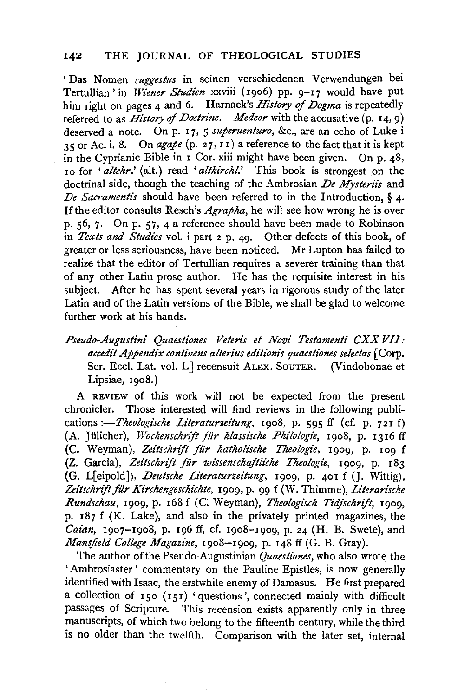'Das Nomen *suggestus* in seinen verschiedenen Verwendungen bei Tertullian' in *Wiener Studien* xxviii (1906) pp. 9-17 would have put him right on pages 4 and 6. Harnack's *History* of *Dogma* is repeatedly referred to as *History* of *Doctrine. Medeor* with the accusative (p. 14, 9) deserved a note. On p. 17, 5 *superuenturo*, &c., are an echo of Luke i 35 or Ac. i. 8. On  $\frac{argape}{(p. 27, 11)}$  a reference to the fact that it is kept in the Cyprianic Bible in 1 Cor. xiii might have been given. On p. 48, 10 for *'altchr.'* (alt.) read *'altkirchl.'* This book is strongest on the doctrinal side, though the teaching of the Ambrosian *De Mysteriis* and *De Sacramentis* should have been referred to in the Introduction, *§* 4. If the editor consults Resch's *Agrapha,* he will see how wrong he is over p. 56, 7. On p. 57, 4 a reference should have been made to Robinson in *Texts and Studies* vol. i part 2 p. 49. Other defects of this book, of greater or less seriousness, have been noticed. Mr Lupton has failed to realize that the editor of Tertullian requires a severer training than that of any other Latin prose author. He has the requisite interest in his subject. After he has spent several years in rigorous study of the later Latin and of the Latin versions of the Bible, we shall be glad to welcome further work at his hands.

*Pseudo-Augustini Quaestiones Veten's et Novi Testamenti CXX VII: accedit Appendix continens alterius editzonis quaestiones selectas* [Corp. Scr. Eccl. Lat. vol. L J recensuit ALEX. SOUTER. (Vindobonae et Lipsiae, 1908.)

A REVIEW of this work will not be expected from the present chronicler. Those interested will find reviews in the following publications *:-Theologische Literaturzeitung*, 1908, p. 595 ff (cf. p. 721 f) (A. JUlicher), *Wochenschrijt fiir klassische Philologie,* 1908, p. 1316 ff (C. Weyman), *ZeitschnJt fur katholische Theologie,* 1909, p. 109 f (Z. Garcia), *Zeitschrift fur wissenschaftliche Theologie,* 1909, p. 183 (G. L[eipold]), *.Deutsche Literaturzeitung,* 1909, p. 401 f (J. Wittig), Zeitschrift für Kirchengeschichte, 1909, p. 99 f (W. Thimme), *Literarische Rundschau,* 1909, p. 168 f (C Weyman), *Theologisch Tid/schrijt,* 1909, p. 187 f (K. Lake), and also in the privately printed magazines, the Caian, 1907-1908, p. 196 ff, cf. 1908-1909, p. 24 (H. B. Swete), and *Mansfield College Magazine,* 1908-1909, p. 148 ff (G. B. Gray).

The author of the Pseudo-Augustinian *Quaestiones,* who also wrote the 'Ambrosiaster ' commentary on the Pauline Epistles, is now generally identified with Isaac, the erstwhile enemy of Damasus. He first prepared a collection of  $150$  ( $151$ ) 'questions', connected mainly with difficult passages of Scripture. This recension exists apparently only in three manuscripts, of which two belong to the fifteenth century, while the third is no older than the twelfth. Comparison with the later set, internal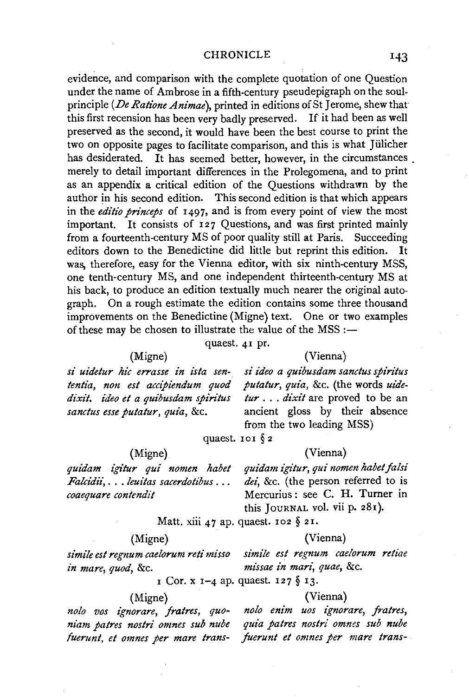#### CHRONICLE

evidence, and comparison with the complete quotation of one Question under the name of Ambrose in a fifth-century pseudepigraph on the soulprinciple *(De Ratione Animae),* printed in editions of St Jerome, shew that this first recension has been very badly preserved. If it had been as well preserved as the second, it would have been the best course to print the two on opposite pages to facilitate comparison, and this is what Jiilicher has desiderated. It has seemed better, however, in the circumstances. merely to detail important differences in the Prolegomena, and to print as an appendix a critical edition of the Questions withdrawn by the author in his second edition. This second edition is that which appears in the *editio princeps* of 1497, and is from every point of view the most important. It consists of 127 Questions, and was first printed mainly from a fourteenth-century MS of poor quality still at Paris. Succeeding editors down to the Benedictine did little but reprint this edition. It was, therefore, easy for the Vienna editor, with six ninth-century MSS, one tenth-century MS, and one independent thirteenth-century MS at his back, to produce an edition textually much nearer the original autograph. On a rough estimate the edition contains some three thousand improvements on the Benedictine (Migne) text. One or two examples of these may be chosen to illustrate the value of the  $MSS$ :-

quaest. 41 pr.

#### (Vienna)

si uidetur hic errasse in ista sen*tentia, non est accipiendum quod*  dixit. ideo et a quibusdam spiritus *sanctus esse putatur, quia,* &c.

(Migne) *quidam igitur qui nomen habet Falcidt"i,* ... *leuitas sacerdotibus* ...

*coaequare contendit* 

(Migne)

*si ideo a quibusdam sanctus spiritus putatur, quia, &c. (the words uidetur* . . . *dixit* are proved to be an ancient gloss by their absence from the two leading MSS)

quaest. 101 $\S$ 2

(Vienna)

*quidam igitur, qui nomen habet falsi*  dei, &c. (the person referred to is Mercurius : see C. H. Turner in this JOURNAL vol. vii p. 281).

Matt. xiii 47 ap. quaest. 102 § 21.

## (Migne) (Vienna)

*simile est regnum caelorum reti misso simile est regnum caelorum retiae in mare, quod,* &c. *mz"ssae in mari, quae,* &c.

1 Cor. x 1-4 ap. quaest. 127 § 13.

## (Migne) (Vienna)

*fuerunt, et omnes per mare trans- fuerunt et omnes per mare trans-*

*nolo vos ignorare, fratres, quo- nolo enim uos ignorare, fratres, niam patres nostri omnes sub nube quia patres nostri omnes sub nube* 

#### 143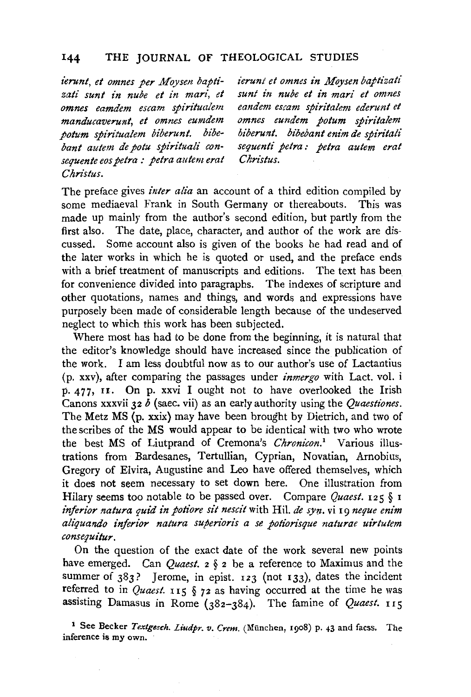ierunt, et omnes per Moysen baptizati sunt in nube et in mari, et *omnes eamdem escam spiritualem manducaverunt, et omnes eumdem potum spin"tualem biberunt. bibe*bant autem de potu spirituali con*sequente eos petra : petra autem erat Christus.* 

*ierunt et omnes in .Moysen baptt"zati sunt in nube et in mari et omnes eandem escam spiritalem ederunt et omnes eundem potum spirz'talem biberunt. bibebant enim de spiritali sequent£ petra: petra autem erat Chrzstus.* 

The preface gives *inter alia* an account of a third edition compiled by some mediaeval Frank in South Germany or thereabouts. This was made up mainly from the author's second edition, but partly from the first also. The date, place, character, and author of the work are discussed. Some account also is given of the books he had read and of the later works in which he is quoted or used, and the preface ends with a brief treatment of manuscripts and editions. The text has been for convenience divided into paragraphs. The indexes of scripture and other quotations, names and things, and words and expressions have purposely been made of considerable length because of the undeserved neglect to which this work has been subjected.

Where most has had to be done from the beginning, it is natural that the editor's knowledge should have increased since the publication of the work. I am less doubtful now as to our author's use of Lactantius (p. xxv), after comparing the passages under *inmergo* with Lact. vol. i p. 477, n. On p. xxvi I ought not to have overlooked the Irish Canons xxxvii 32 *b* (saec. vii) as an early authority using the *Quaestiones.*  The Metz MS (p. xxix) may have been brought by Dietrich, and two of the scribes of the MS would appear to be identical with two who wrote the best MS of Liutprand of Cremona's *Chronicon.'* Various illustrations from Bardesanes, Tertullian, Cyprian, Novatian, Arnobius, Gregory of Elvira, Augustine and Leo have offered themselves, which it does not seem necessary to set down here. One illustration from Hilary seems too notable to be passed over. Compare *Quaest.* 125 § 1 *inferior natura quid in potiore sit nescit* with Hil. *de syn.* vi 19 *neque enim aliquando inferior natura supen"oris a se potz'onsque naturae uirtutem consequilur.* 

On the question of the exact date of the work several new points have emerged. Can *Quaest.* 2 § 2 be a reference to Maximus and the summer of  $383$ ? Jerome, in epist. 123 (not 133), dates the incident referred to in *Quaest*. 115  $\S$  72 as having occurred at the time he was assisting Damasus in Rome (382-384). The famine of *Quaest.* 115

<sup>1</sup> See Becker *Textgesch. Liudpr. v. Crem.* (München, 1908) p. 43 and facss. The inference is my own.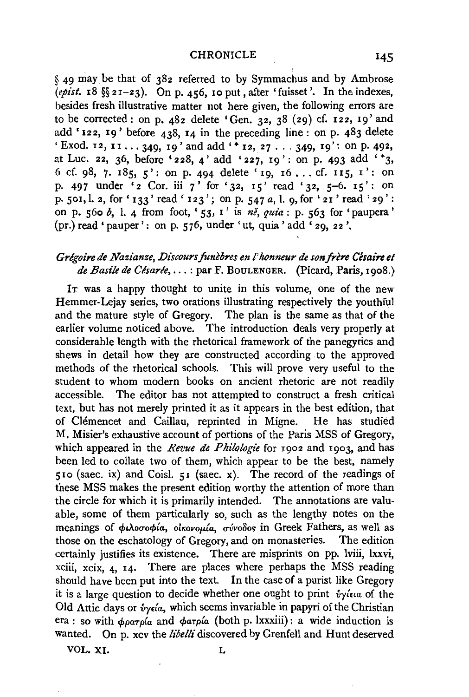#### **CHRONICLE**

§ 49 may be that of 382 referred to by Symmachus and by Ambrose  $(e^{\pi}$ ist.  $18 \frac{66}{321} - 23)$ . On p. 456, 10 put, after 'fuisset'. In the indexes, besides fresh illustrative matter not here given, the following errors are to be corrected: on p.  $482$  delete 'Gen. 32, 38 (29) cf. 122, 19' and add '122, 19' before  $438$ , 14 in the preceding line: on p.  $483$  delete 'Exod. 12, 11 ... 349, 19' and add'\* 12, 27 ... 349, 19': on p. 492, at Luc. 22, 36, before '228, 4' add '227, 19': on p. 493 add '\*3, 6 cf. 98, 7. 185, 5': on p. 494 delete '19, 16... cf. 115, 1': on p. 497 under '2 Cor. iii 7' for '32, 15' read '32, 5-6. 15': on p. 501,1.. 2, for' 133' read' 123'; on p. 547 *a,* 1. 9,for '21' read' 29': on p. 560 *b,* I. 4 from foot, '53, I' is *ne, quia:* P· 563 for 'paupera' (pr.) read 'pauper': on p. 576, under 'ut, quia' add '29, 22 '.

## Grégoire de Nazianze, Discours funèbres en l'honneur de son frère Césaire et *de Basile de Clsarle, ...* : par F. BoULENGER. (Picard, Paris, 1908.}

IT was a happy thought to unite in this volume, one of the new Hemmer-Lejay series, two orations illustrating respectively the youthful and the mature style of Gregory. The plan is the same as that of the earlier volume noticed above. The introduction deals very properly at considerable length with the rhetorical framework of the panegyrics and shews in detail how they are constructed according to the approved methods of the rhetorical schools. This will prove very useful to the student to whom modern books on ancient rhetoric are not readily accessible. The editor has not attempted to construct a fresh critical text, but has not merely printed it as it appears in the best edition, that of Clemencet and Caillau, reprinted in Migne. He has studied M. Misier's exhaustive account of portions of the Paris MSS of Gregory, which appeared in the *Revue de Philologie* for 1902 and 1903, and has been led to collate two of them, which appear to be the best, namely 510 (saec. ix) and Coisl. 51 (saec. x). The record of the readings of these MSS makes the present edition worthy the attention of more than the circle for which it is primarily intended. The annotations are valuable, some of them particularly so, such as the lengthy notes on the meanings of φιλοσοφία, οικονομία, σύνοδος in Greek Fathers, as well as those on the eschatology of Gregory, and on monasteries. The edition certainly justifies its existence. There are misprints on pp. lviii, lxxvi, xciii, xcix, 4, 14. There are places where perhaps the MSS reading should have been put into the text. In the case of a purist like Gregory it is a large question to decide whether one ought to print  $\dot{v}$  view of the Old Attic days or  $\delta$ yeia, which seems invariable in papyri of the Christian era : so with  $\phi \rho \alpha \tau \rho i \alpha$  and  $\phi \alpha \tau \rho i \alpha$  (both p. lxxxiii) : a wide induction is wanted. On p. xcv the *libelli* discovered by Grenfell and Hunt deserved

VOL. XI. L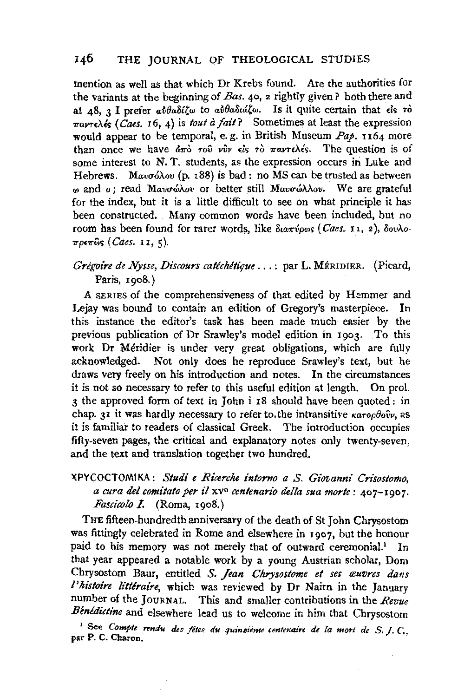mention as well as that which Dr Krebs found. Are the authorities for the variants at the beginning of *Bas.* 40, 2 rightly given? both there and at 48, 3 I prefer  $a\hat{v}\theta a\delta\hat{i}\zeta\omega$  to  $a\hat{v}\theta a\delta\hat{u}\zeta\omega$ . Is it quite certain that  $\hat{\epsilon}$  is  $\hat{\tau}$  $\pi a$ r $\epsilon$  $\epsilon$ **(Caes. 16, 4)** is *tout à fait?* Sometimes at least the expression would appear to be temporal, e. g. in British Museum Pap. 1164 more than once we have  $d\pi\delta$  ro<sup>p</sup> *v*v *ds*  $\tau\delta$   $\pi a$ *v* $\tau\epsilon\lambda$ *és*. The question is of some interest to N. T. students, as the expression occurs in Luke and Hebrews. Mavo $\delta \lambda$ ov (p. 188) is bad: no MS can be trusted as between w and o; read Μανσώλου or better still Μανσώλλου. We are grateful for the index, but it is a little difficult to see on what principle it has been constructed. Many common words have been included, but no room has been found for rarer words, like διαπύρως (Caes. 11, 2), δουλο-*11"p£71"W'> (Caes.* II, 5).

## *Grégoire de Nysse, Discours catéchétique* ...: par L. MÉRIDIER. (Picard, Paris, 1908.)

A SERIES of the comprehensiveness of that edited by Hemmer and Lejay was bound to contain an edition of Gregory's masterpiece. In this instance the editor's task has been made much easier by the previous publication of Dr Srawley's model edition in 1903. To this work Dr Meridier is under very great obligations, which are fully acknowledged. Not only does he reproduce Srawley's text, but he draws very freely on his introduction and notes. In the circumstances it is not so necessary to refer to this useful edition at length. On prol. 3 the approved form of text in John i 18 should have been quoted: in chap. 31 it was hardly necessary to refer to the intransitive *Karopbov*, as it is familiar to readers of classical Greek. The introduction occupies fifty-seven pages, the critical and explanatory notes only twenty-seven, and the text and translation together two hundred.

## XPYCOCTOMIKA: *Studi e Ricerche intorno a S. Giovanni· Crisostomo, a cura de! comitato per* t'l xv0 *centenario delta sua morte:* 407-1907. *Fascicolo* I. (Roma, 1908.)

THE fifteen-hundredth anniversary of the death of St John Chrysostom was fittingly celebrated in Rome and elsewhere in 1907, but the honour paid to his memory was not merely that of outward ceremonial.<sup>1</sup> In that year appeared a notable work by a young Austrian scholar, Dom Chrysostom Baur, entitled *S. Jean Chrysostome et ses œuvres dans l'histoire littéraire*, which was reviewed by Dr Nairn in the January number of the JOURNAL. This and smaller contributions in the *Revue*  Benedictine and elsewhere lead us to welcome in him that Chrysostom

<sup>1</sup> See Compte rendu des fêtes du quinzieme centenaire de la mort de S. J. C., par P. C. Charon.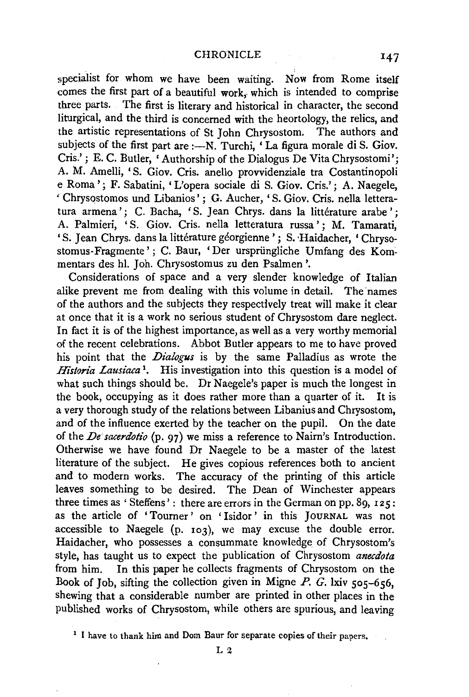specialist for whom we have been waiting. Now from Rome itself comes the first part of a beautiful work, which is intended to comprise three parts. The first is literary and historical in character, the second liturgical, and the third is concerned with the heortology, the relics, and the artistic representations of St John Chrysostom. The authors and subjects of the first part are :- N. Turchi, 'La figura morale di S. Giov. Cris.' ; E. C. Butler, 'Authorship of the Dialogus De Vita Chrysostomi'; A. M. Amelli, 'S. Giov. Cris. anello provvidenziale tra Costantinopoli e Roma'; F. Sabatini, 'L'opera sociale di S. Giov. Cris.'; A. Naegele, ' Chrysqstomos und Libanios' ; G. Aucher, 'S. Giov. Cris. nella letteratura armena': C. Bacha, 'S. Jean Chrys. dans la littérature arabe': A. Palmieri, 'S. Giov. Cris. nella letteratura russa'; M. Tamarati, 'S. Jean Chrys. dans la littérature géorgienne'; S. Haidacher, 'Chrysostomus-Fragmente'; C. Baur, 'Der urspriingliche Umfang des Korn~ mentars des hl. Joh. Chrysostomus zu den Psalmen '.

Considerations of space and a very slender knowledge of Italian alike prevent me from dealing with this volume in detail. The names of the authors and the subjects they respectively treat will make it clear at once that it is a work no serious student of Chrysostom dare neglect. In fact it is of the highest importance, as well as a very worthy memorial of the recent celebrations. Abbot Butler appears to me to have proved his point that the *Dialogus* is by the same Palladius as wrote the *Historia Lausiaca*<sup>1</sup>. His investigation into this question is a model of what such things should be. Dr Naegele's paper is much the longest in the book, occupying as it does rather more than a quarter of it. It is a very thorough study of the relations between Libanius and Chrysostom, and of the influence exerted by the teacher on the pupil. On the date of the *De sacenlotio* (p. 97) we miss a reference to Nairn's Introduction. Otherwise we have found Dr Naegele to be a master of the latest literature of the subject. He gives copious references both to ancient and to modern works. The accuracy of the printing of this article leaves something to be desired. The Dean of Winchester appears three times as ' Steffens' : there are errors in the German on pp. 89, 12 5 : as the article of 'Tourner' on 'Isidor' in this JOURNAL was not accessible to Naegele (p. 103), we may excuse the double error. Haidacher, who possesses a consummate knowledge of Chrysostom's style, has taught us to expect the publication of Chrysostom *anecdota*  from him. In this paper he collects fragments of Chrysostom on the Book of Job, sifting the collection given in Migne *P. G.* lxiv 505-656, shewing that a considerable number are printed in other places in the published works of Chrysostom, while others are spurious, and leaving

<sup>&</sup>lt;sup>1</sup> I have to thank him and Dom Baur for separate copies of their papers.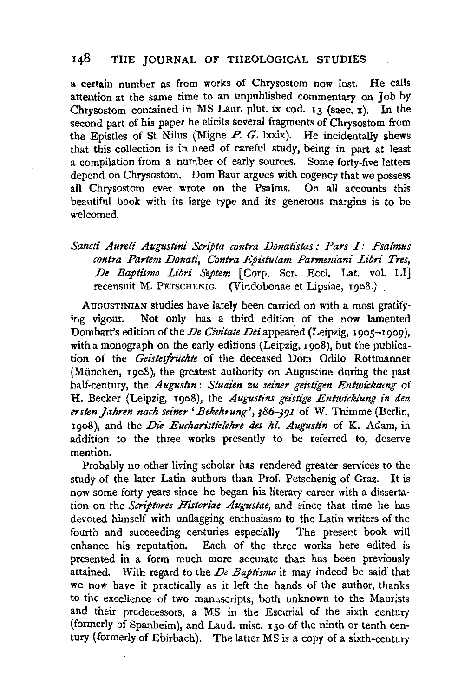a certain number as from works of Chrysostom now lost. He calls attention at the same time to an unpublished commentary on Job by Chrysostom contained in MS Laur. plut. ix cod. 13 (saec. x). In the second part of his paper he elicits several fragments of Chrysostom from the Epistles of St Nilus (Migne  $P$ ,  $G$ , lxxix). He incidentally shews that this collection is in need of careful study, being in part at least a compilation from a number of early sources. Some forty-five letters depend on Chrysostom. Dom Baur argues with cogency that we possess all Chrysostom ever wrote on the Psalms. On all accounts this beautiful book with its large type and its generous margins is to be welcomed.

Sancti Aureli Augustini Scripta contra Donatistas: Pars I: Psalmus *contra Partem Donati, Contra Epistulam Parmeniani Libri Tres,*  De Baptismo Libri Septem <sup>[Corp.</sup> Scr. Eccl. Lat. vol. LI<sup>]</sup> recensuit M. PETSCHENIG. (Vindobonae et Lipsiae, 1908.) .

AUGUSTINIAN studies have lately been carried on with a most gratifying vigour. Not only has a third edition of the now lamented Dombart's edition of the *De Civitate Dei* appeared (Leipzig, 1905-1909), with a monograph on the early editions (Leipzig,  $1908$ ), but the publication of the *Geistesfrüchte* of the deceased Dom Odilo Rottmanner (Miinchen, 1908), the greatest authority on Augustine during the past half-century, the *Augustin: Studien zu seiner geistigen Entwicklung* of H. Becker (Leipzig, 1908), the *Augustins geistige Entwicklung in den*  ersten Jahren nach seiner 'Bekehrung', 386-391 of W. Thimme (Berlin, 1908), and the *Die Eucharistielehre des hl. Augustin* of K. Adam, in addition to the three works presently to be referred to, deserve mention.

Probably no other living scholar has rendered greater services to the study of the later Latin authors than Prof. Petschenig of Graz. It is now some forty years since he began his literary career with a dissertation on the *Scriptores Historlae Augustae,* and since that time he has devoted himself with unflagging enthusiasm to the Latin writers of the fourth and succeeding centuries especially. The present book will enhance his reputation. Each of the three works here edited is presented in a form much more accurate than has been previously attained. With regard to the *De Baptismo* it may indeed be said that we now have it practically as it left the hands of the author, thanks to the excellence of two manuscripts, both unknown to the Maurists and their predecessors, a MS in the Escurial of the sixth century (formerly of Spanheim), and Laud. misc. 130 of the ninth or tenth century (formerly of Ebirbach). The latter MS is a copy of a sixth-century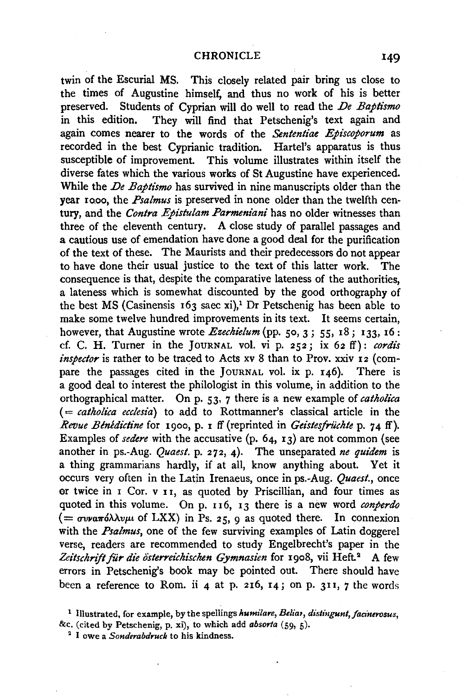twin of the Escurial MS. This closely related pair bring us close to the times of Augustine himself, and thus no work of his is better preserved. Students of Cyprian will do well to read the *De Baptismo*  in this edition. They will find that Petschenig's text again and again comes nearer to the words of the *Sententiae Episcoporum* as recorded in the best Cyprianic tradition. Hartel's apparatus is thus susceptible of improvement. This volume illustrates within itself the diverse fates which the various works of St Augustine have experienced. While the *De Baptismo* has survived in nine manuscripts older than the year rooo, the *Psalmus* is preserved in none older than the twelfth century, and the *Contra Epistulam Parmeniani* has no older witnesses than three of the eleventh century. A close study of parallel passages and a cautious use of emendation have done a good deal for the purification of the text of these. The Maurists and their predecessors do not appear to have done their usual justice to the text of this latter work. The consequence is that, despite the comparative lateness of the authorities, a lateness which is somewhat discounted by the good orthography of the best MS (Casinensis  $163$  saec xi),<sup>1</sup> Dr Petschenig has been able to make some twelve hundred improvements in its text. It seems certain, however, that Augustine wrote *Ezechielum* (pp. 50, 3; 55, 18; 133, 16: cf. C. H. Turner in the JOURNAL vol. vi p. 252; ix 62 ff): *cordis inspector* is rather to be traced to Acts xv 8 than to Prov. xxiv 12 (compare the passages cited in the JouRNAL vol. ix p. 146). There is a good deal to interest the philologist in this volume, in addition to the orthographical matter. On p. 53, 7 there is a new example of *catholica* ( = *catlzolica ecclesia)* to add to Rottmanner's classical article in the *Revue Benedictine* for 1900, p. 1 ff (reprinted in *Geistesfrüchte* p. 74 ff). Examples of *sedere* with the accusative (p. 64, 13) are not common (see another in ps.-Aug. *Quaest.* p. 272, 4). The unseparated *ne quidem* is a thing grammarians hardly, if at all, know anything about. Yet it occurs very often in the Latin Irenaeus, once in ps.-Aug. *Quaest.,* once or twice in 1 Cor. v 11, as quoted by Priscillian, and four times as quoted in this volume. On p. II6, 13 there is a new word *conperdo*   $($  =  $\sigma$ *va* $\pi$ όλλ*vµi* of LXX) in Ps. 25, 9 as quoted there. In connexion with the *Psalmus*, one of the few surviving examples of Latin doggerel verse, readers are recommended to study Engelbrecht's paper in the Zeitschrift für die österreichischen Gymnasien for 1908, vii Heft.<sup>2</sup> A few errors in Petschenig's book may be pointed out. There should have been a reference to Rom. ii 4 at p. 216,  $14$ ; on p. 311, 7 the words

<sup>&</sup>lt;sup>1</sup> Illustrated, for example, by the spellings *humilare*, *Beliar*, *distingunt*, *facinerosus*, &c. (cited by Petschenig, p. xi), to which add *absorla* (59, 5). 2 I owe a *Sondenzbd,.uck* to his kindness.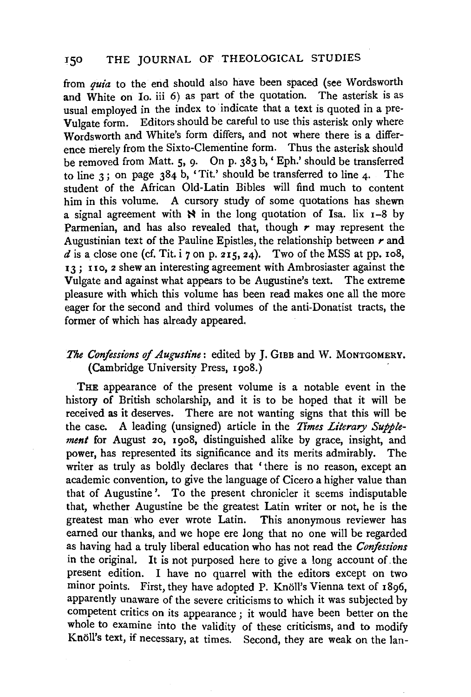from *quia* to the end should also have been spaced (see Wordsworth and White on Io. iii 6) as part of the quotation. The asterisk is as usual employed in the index to indicate that a text is quoted in a pre-Vulgate form. Editors should be careful to use this asterisk only where Wordsworth and White's form differs, and not where there is a difference merely from the Sixto-Clementine form. Thus the asterisk should be removed from Matt. 5, 9. On p. 383 b,' Eph.' should be transferred to line 3; on page 384 b, 'Tit.' should be transferred to line 4. The student of the African Old-Latin Bibles will find much to content him in this volume. A cursory study of some quotations has shewn a signal agreement with  $\aleph$  in the long quotation of Isa. lix 1-8 by Parmenian, and has also revealed that, though *r* may represent the Augustinian text of the Pauline Epistles, the relationship between  $r$  and  $d$  is a close one (cf. Tit. i 7 on p. 215, 24). Two of the MSS at pp. 108, 13; no, 2 shew an interesting agreement with Ambrosiaster against the Vulgate and against what appears to be Augustine's text. The extreme pleasure with which this volume has been read makes one all the more eager for the second and third volumes of the anti-Donatist tracts, the former of which has already appeared.

# *The Confessions of Augustine:* edited by J. GIBB and W. MONTGOMERY. (Cambridge University Press, 1908.)

THE appearance of the present volume is a notable event in the history of British scholarship, and it is to be hoped that it will be received as it deserves. There are not wanting signs that this will be the case. A leading (unsigned) article in the *Times Literary Supplement* for August 20, 1908, distinguished alike by grace, insight, and power, has represented its significance and its merits admirably. The writer as truly as boldly declares that 'there is no reason, except an academic convention, to give the language of Cicero a higher value than that of Augustine'. To the present chronicler it seems indisputable that, whether Augustine be the greatest Latin writer or not, he is the greatest man who ever wrote Latin. This anonymous reviewer has earned our thanks, and we hope ere long that no one will be regarded as having had a truly liberal education who has not read the *Confessions*  in the original. It is not purposed here to give a long account of. the present edition. I have no quarrel with the editors except on two minor points. First, they have adopted P. Knöll's Vienna text of 1896, apparently unaware of the severe criticisms to which it was subjected by competent critics on its appearance ; it would have been better on the whole to examine into the validity of these criticisms, and to modify Knoll's text, if necessary, at times. Second, they are weak on the Ian-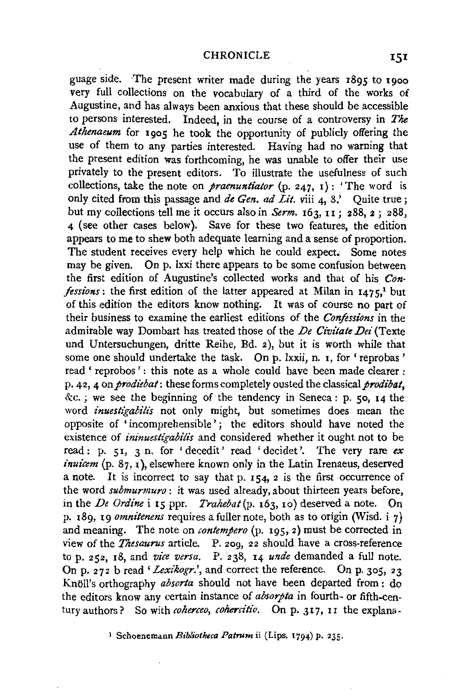guage side. The present writer made during the years 1895 to 1900 very full collections on the vocabulary of a third of the works of Augustine, and has always been anxious that these should be accessible to persons interested. Indeed, in the course of a controversy in *The Athenaeum* for 1905 he took the opportunity of publicly offering the use of them to any parties interested. Having had no warning that the present edition was forthcoming, he was unable to offer their use privately to the present editors. To illustrate the usefulness of such collections, take the note on *praenuntiator* (p. 247, 1): 'The word is only cited from this passage and *de Gen. ad Lit.* viii  $\vec{A}$ , 8.' Ouite true : but my collections tell me it occurs also in *Serm.* 163, 11 ; 288, 2 ; 288, 4 (see other cases below). Save for these two features, the edition appears to me to shew both adequate learning and a sense of proportion. The student receives every help which he could expect. Some notes may be given. On p. lxxi there appears to be some confusion between the first edition of Augustine's collected works and that of his *Confessions*: the first edition of the latter appeared at Milan in  $1475$ ,<sup>1</sup> but of this edition the editors know nothing. It was of course no part of their business to examine the earliest editions of the *Confessions* in the admirable way Dombart has treated those of the *De Civitate Dei* (Texte und Untersuchungen, dritte Reihe, Bd. 2), but it is worth while that some one should undertake the task. On p. lxxii, n. 1, for 'reprobas' read ' reprobos': this note as a whole could have been made clearer : p. 42, 4 on *prodiebat*: these forms completely ousted the classical *prodibat*,  $\&c.$ ; we see the beginning of the tendency in Seneca : p. 50, 14 the word *inuestigabilis* not only might, but sometimes does mean the opposite of 'incomprehensible'; the editors should have noted the existence of *ininuestigabilis* and considered whether it ought not to be read: p. 51, 3 n. for 'decedit' read 'decidet '. The very rare *ex*   $inu$ icem  $(p, 87, 1)$ , elsewhere known only in the Latin Irenaeus, deserved a note. It is incorrect to say that p. 154, 2 is the first occurrence of the word *submurmuro:* it was used already, about thirteen years before, in the *De Ordine* i 15 ppr. *Trahebat(p.* 163, 10) deserved a note. On p. 189, 19 *omnitenens* requires a fuller note, both as to origin (Wisd. i 7) and meaning. The note on *contempero* (p. 195, 2) must be corrected in view of the *Thesaurus* article. P. 209, 22 should have a cross-reference top. 252, 18, and *vice versa.* P. 238, 14 *unde* demanded a full note. On p. 272 b read 'Lexikogr.', and correct the reference. On p. 305, 23 Knoll's orthography *absorta* should not have been departed from : do the editors know any certain instance of *absorpta* in fourth- or fifth-century authors? So with *coherceo, cohercitio*. On p. 317, 11 the explana-

1 Schoenemann *Bibliotheca Patrum* ii (Lips. 1794) p. 235.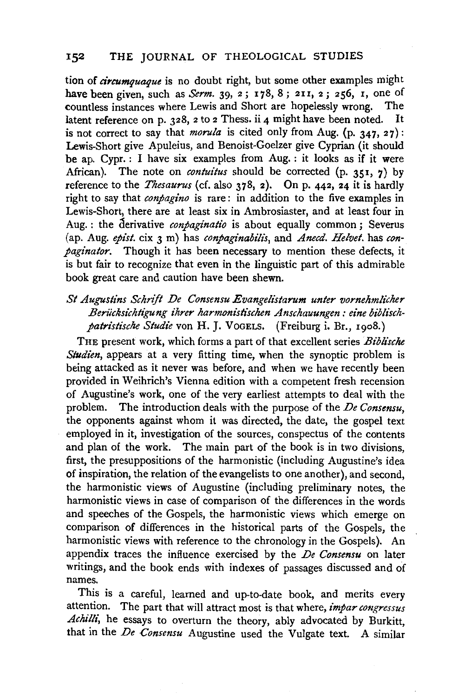tion of *circumquaque* is no doubt right, but some other examples might have been given, such as *Serm.* 39, 2; 178, 8; 211, 2; 256, 1, one of countless instances where Lewis and Short are honelessly wrong. The countless instances where Lewis and Short are hopelessly wrong. latent reference on p. 328, 2 to 2 Thess. ii 4 might have been noted. It is not correct to say that *morula* is cited only from Aug. (p.  $347, 27$ ): Lewis-Short give Apuleius, and Benoist-Goelzer give Cyprian (it should be ap. Cypr. : I have six examples from Aug. : it looks as if it were African). The note on *contuitus* should be corrected (p. 351, 7) by reference to the *Thesaurus* (cf. also 378, 2). On p. 442, 24 it is hardly right to say that *conpagino* is rare: in addition to the five examples in Lewis-Short, there are at least six in Ambrosiaster, and at least four in Aug. : the derivative *conpaginatio* is about equally common ; Severus (ap. Aug. *epist.* cix 3 m) has *conpaginabilis*, and *Anecd. Helvet*. has *conpaginator.* Though it has been necessary to mention these defects, it is but fair to recognize that even in the linguistic part of this admirable book great care and caution have been shewn.

## St Augustins Schrift De Consensu Evangelistarum unter vornehmlicher Berücksichtigung ihrer harmonistischen Anschauungen: eine biblischpatristische Studie von H. J. VoGELS. (Freiburg i. Br., 1908.)

THE present work, which forms a part of that excellent series *Biblische Studien*, appears at a very fitting time, when the synoptic problem is being attacked as it never was before, and when we have recently been provided in Weihrich's Vienna edition with a competent fresh recension of Augustine's work, one of the very earliest attempts to deal with the problem. The introduction deals with the purpose of the *De Consensu,*  the opponents against whom it was directed, the date, the gospel text employed in it, investigation of the sources, conspectus of the contents and plan of the work. The main part of the book is in two divisions, first, the presuppositions of the harmonistic (including Augustine's idea of inspiration, the relation of the evangelists to one another), and second, the harmonistic views of Augustine (including preliminary notes, the harmonistic views in case of comparison of the differences in the words and speeches of the Gospels, the harmonistic views which emerge on comparison of differences in the historical parts of the Gospels, the harmonistic views with reference to the chronology in the Gospels). An appendix traces the influence exercised by the *De Consensu* on later writings, and the book ends with indexes of passages discussed and of names.

This is a careful, learned and up-to-date book, and merits every attention. The part that will attract most is that where, *impar congressus*  Achilli, he essays to overturn the theory, ably advocated by Burkitt, that in the *De Consensu* Augustine used the Vulgate text. A similar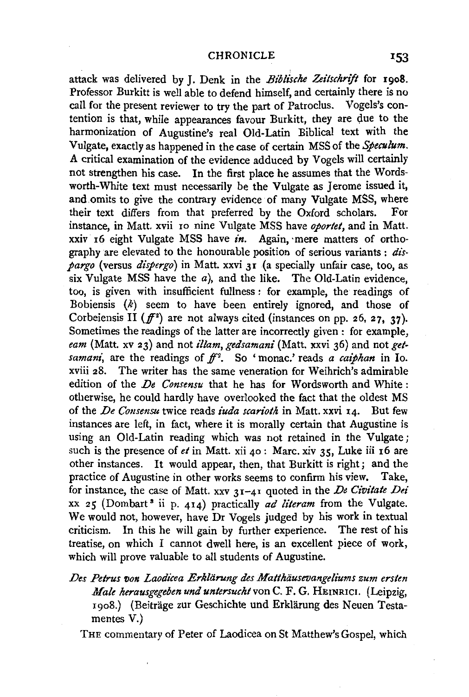#### CHRONICLE 153

attack was delivered by J. Denk in the *Biblische Zeilschrift* for 1908. Professor Burkitt is well able to defend himself, and certainly there is no call for the present reviewer to try the part of Patroclus. Vogels's contention is that, while appearances favour Burkitt, they are due to the harmonization of Augustine's real Old-Latin Biblical text with the Vulgate, exactly as happened in the case of certain MSS of the *Speculum.*  A critical examination of the evidence adduced by Vogels will certainly not strengthen his case. In the first place he assumes that the Wordsworth-White text must necessarily be the Vulgate as Jerome issued it, and.omits to give the contrary evidence of many Vulgate MSS, where their text differs from that preferred by the Oxford scholars. For instance, in Matt. xvii 10 nine Vulgate MSS have *oportet*, and in Matt. xxiv 16 eight Vulgate MSS have *in.* Again, ·mere matters of orthography are elevated to the honourable position of serious variants : *dispargo* (versus *dispergo)* in Matt. xxvi 31 (a specially unfair case, too, as six Vulgate MSS have the  $a$ ), and the like. The Old-Latin evidence, too, is given with insufficient fullness : for example, the readings of Bobiensis  $(k)$  seem to have been entirely ignored, and those of Corbeiensis II ( $f^2$ ) are not always cited (instances on pp. 26, 27, 37). Sometimes the readings of the latter are incorrectly given : for example, *eam* (Matt. xv 23) and not *illam, gedsamani* (Matt. xxvi 36) and not *getsamani*, are the readings of  $f^{2}$ . So 'monac.' reads *a caiphan* in Io. xviii 28. The writer has the same veneration for Weihrich's admirable edition of the *De Consensu* that he has for Wordsworth and White: otherwise, he could hardly have overlooked the fact that the oldest MS of the *De Consensu* twice reads *iuda scarioth* in Matt. xxvi 14. But few instances are left, in fact, where it is morally certain that Augustine is using an Old-Latin reading which was not retained in the Vulgate; such is the presence of *et* in Matt. xii 40: Marc. xiv 35, Luke iii 16 are other instances. It would appear, then, that Burkitt is right; and the practice of Augustine in other works seems to confirm his view. Take, for instance, the case of Matt. xxv 31-41 quoted in the *De Civitate Dei*  xx 25 (Dombart<sup>3</sup> ii p. 414) practically *ad literam* from the Vulgate. We would not, however, have Dr Vogels judged by his work in textual criticism. In this he will gain by further experience. The rest of his treatise, on which I cannot dwell here, is an excellent piece of work, which will prove valuable to all students of Augustine.

*Des Petrus von Laodicea Erkliirung des Matthiiusevangeliums zum ersten Male herausgegeben und untersucht* von C. F. G. HEINRICI. (Leipzig, 1908.) (Beitrage zur Geschichte und Erklarung des Neuen Testamentes V.)

THE commentary of Peter of Laodicea on St Matthew's Gospel, which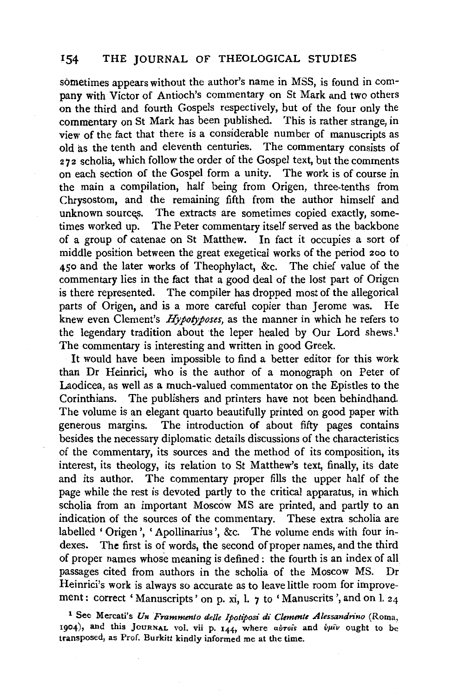sometimes appears without the author's name in MSS, is found in company with Victor of Antioch's commentary on St Mark and two others on the third and fourth Gospels respectively, but of the four only the commentary on St Mark has been published. This is rather strange, in view of the fact that there is a considerable number of manuscripts as old as the tenth and eleventh centuries. The commentary consists of 272 scholia, which follow the order of the Gospel text, but the comments on each section of the Gospel form a unity. The work is of course in the main a compilation, half being from Origen, three-tenths from Chrysostom, and the remaining fifth from the author himself and unknown sources. The extracts are sometimes copied exactly, sometimes worked up. The Peter commentary itself served as the backbone of a group of catenae on St Matthew. In fact it occupies a sort of middle position between the great exegetical works of the period 200 to 450 and the later works of Theophylact, &c. The chief value of the commentary lies in the fact that a good deal of the lost part of Origen is there represented. The compiler has dropped most of the allegorical parts of Origen, and is a more careful copier than Jerome was. He knew even Clement's *Hypotyposes,* as the manner in which he refers to the legendary tradition about the leper healed by Our Lord shews.<sup>1</sup> The commentary is interesting and written in good Greek.

It would have been impossible to find a better editor for this work than Dr Heinrici, who is the author of a monograph on Peter of Laodicea, as well as a much-valued commentator on the Epistles to the Corinthians. The publishers and printers have not been behindhand. The volume is an elegant quarto beautifully printed on good paper with generous margins. The introduction of about fifty pages contains besides the necessary diplomatic details discussions of the characteristics of the commentary, its sources and the method of its composition, its interest, its theology, its relation to St Matthew's text, finally, its date and its author. The commentary proper fills the upper half of the page while the rest is devoted partly to the critical apparatus, in which scholia from an important Moscow MS are printed, and partly to an indication of the sources of the commentary. These extra scholia are labelled 'Origen', 'Apollinarius', &c. The volume ends with four indexes. The first is of words, the second of proper names, and the third of proper names whose meaning is defined : the fourth is an index of all passages cited from authors in the scholia of the Moscow MS. Dr Heinrici's work is always so accurate as to leave little room for improvement: correct 'Manuscripts' on p. xi, l. 7 to 'Manuscrits', and on l. 24

<sup>1</sup> See Mercati's *Un Frammento delle Ipotiposi di Clemente Alessandrino* (Roma, 1904), and this JOURNAL vol. vii p. 144, where *avrois* and *buiv* ought to be transposed, as Prof. Burkitt kindly informed me at the time.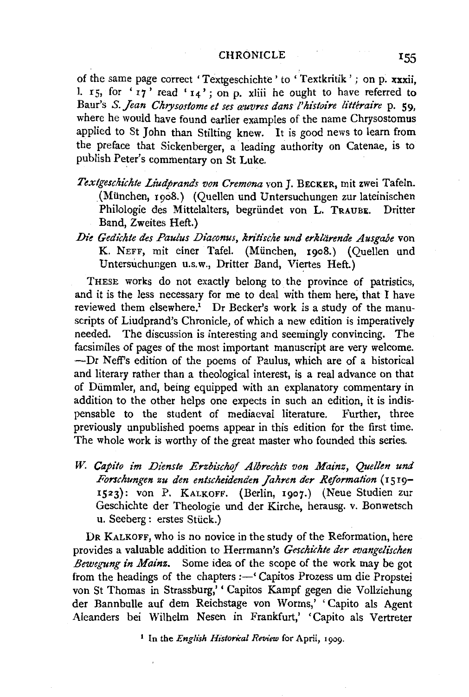of the same page correct 'Textgeschichte ' to ' Textkritik ' ; on p. xxxii, 1. 15, for  $'17'$  read  $'14'$ ; on p. xliii he ought to have referred to Baur's *S. Jean Chrysostome et ses œuvres dans l'histoire littéraire* p. 59, where he would have found earlier examples of the name Chrysostomus applied to St John than Stilting knew. It is good news to learn from the preface that Sickenberger, a leading authority on Catenae, is to publish Peter's commentary on St Luke.

- *Textgeschichte Li'udprands von Cremona* von J. BECKER, mit zwei Tafeln. (Miinchen, 1908.) (Quellen und Untersuchungen zur lateinischen Philologie des Mittelalters, begriindet von L. TRAUBE. Dritter Band, Zweites Heft.)
- Die Gedichte des Paulus Diaconus, kritische und erklärende Ausgabe von K. NEFF, mit einer Tafel. (Miinchen, 1908.) (Quellen und Untersuchungen u.s.w., Dritter Band, Viertes Heft.)

THESE works do not exactly belong to the province of patristics, and it is the less necessary for me to deal with them here, that I have reviewed them elsewhere.<sup>1</sup> Dr Becker's work is a study of the manuscripts of Liudprand's Chronicle, of which a new edition is imperatively needed. The discussion is interesting and seemingly convincing. The facsimiles of pages of the most important manuscript are very welcome. ---Dr Neff's edition of the poems of Paulus, which are of a historical and literary rather than a theological interest, is a real advance on that of Diimmler, and, being equipped with an explanatory commentary in addition to the other helps one expects in such an edition, it is indispensable to the student of mediaeval literature. Further, three previously unpublished poems appear in this edition for the first time. The whole work is worthy of the great master who founded this series.

*W. Capito im Dienste Erzbischof Albrechts von Mainz, Quellen und Forschungen zu den enlschei'denden Jahren der Reformation* (1519- 1523): von P. KALKOFF. (Berlin, 1907.) (Neue Studien zur Geschichte der Theologie und der Kirche, herausg. v. Bonwetsch u. Seeberg: erstes Stiick.)

DR KALKOFF, who is no novice in the study of the Reformation, here provides a valuable addition to Herrmann's *Geschichte der evangelischen Bewegung in Mainz.* Some idea of the scope of the work may be got from the headings of the chapters:-' Capitos Prozess um die Propstei von St Thomas in Strassburg,' ' Capitos Kampf gegen die Vollziehung der Bannbulle auf dem Reichstage von Worms,' ' Capito als Agent Aleanders bei Wilhelm Nesen in Frankfurt,' 'Capito als Vertreter

<sup>1</sup> In the *English Historical Review* for April, 1909.